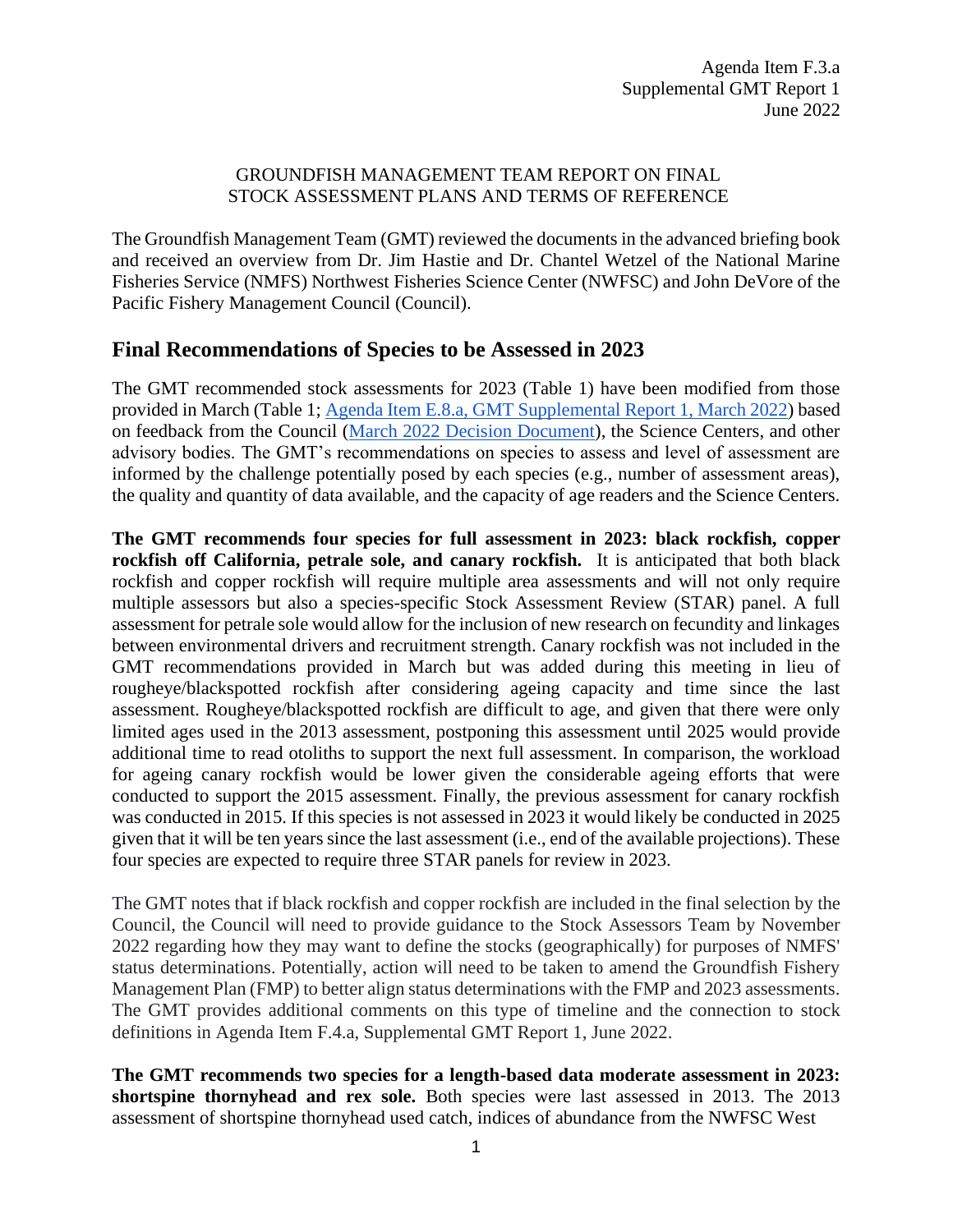## GROUNDFISH MANAGEMENT TEAM REPORT ON FINAL STOCK ASSESSMENT PLANS AND TERMS OF REFERENCE

The Groundfish Management Team (GMT) reviewed the documents in the advanced briefing book and received an overview from Dr. Jim Hastie and Dr. Chantel Wetzel of the National Marine Fisheries Service (NMFS) Northwest Fisheries Science Center (NWFSC) and John DeVore of the Pacific Fishery Management Council (Council).

## **Final Recommendations of Species to be Assessed in 2023**

The GMT recommended stock assessments for 2023 [\(Table 1\)](#page-1-0) have been modified from those provided in March [\(Table 1;](#page-1-0) [Agenda Item E.8.a, GMT Supplemental Report 1, March 2022\)](https://www.pcouncil.org/documents/2022/03/e-8-a-supplemental-gmt-report-1.pdf/) based on feedback from the Council [\(March 2022 Decision Document\)](https://www.pcouncil.org/march-2022-decision-summary-document/#groundfish-management-toc-baed2bed-aa5a-44eb-9153-c37882bde526), the Science Centers, and other advisory bodies. The GMT's recommendations on species to assess and level of assessment are informed by the challenge potentially posed by each species (e.g., number of assessment areas), the quality and quantity of data available, and the capacity of age readers and the Science Centers.

**The GMT recommends four species for full assessment in 2023: black rockfish, copper rockfish off California, petrale sole, and canary rockfish.** It is anticipated that both black rockfish and copper rockfish will require multiple area assessments and will not only require multiple assessors but also a species-specific Stock Assessment Review (STAR) panel. A full assessment for petrale sole would allow for the inclusion of new research on fecundity and linkages between environmental drivers and recruitment strength. Canary rockfish was not included in the GMT recommendations provided in March but was added during this meeting in lieu of rougheye/blackspotted rockfish after considering ageing capacity and time since the last assessment. Rougheye/blackspotted rockfish are difficult to age, and given that there were only limited ages used in the 2013 assessment, postponing this assessment until 2025 would provide additional time to read otoliths to support the next full assessment. In comparison, the workload for ageing canary rockfish would be lower given the considerable ageing efforts that were conducted to support the 2015 assessment. Finally, the previous assessment for canary rockfish was conducted in 2015. If this species is not assessed in 2023 it would likely be conducted in 2025 given that it will be ten years since the last assessment (i.e., end of the available projections). These four species are expected to require three STAR panels for review in 2023.

The GMT notes that if black rockfish and copper rockfish are included in the final selection by the Council, the Council will need to provide guidance to the Stock Assessors Team by November 2022 regarding how they may want to define the stocks (geographically) for purposes of NMFS' status determinations. Potentially, action will need to be taken to amend the Groundfish Fishery Management Plan (FMP) to better align status determinations with the FMP and 2023 assessments. The GMT provides additional comments on this type of timeline and the connection to stock definitions in Agenda Item F.4.a, Supplemental GMT Report 1, June 2022.

**The GMT recommends two species for a length-based data moderate assessment in 2023: shortspine thornyhead and rex sole.** Both species were last assessed in 2013. The 2013 assessment of shortspine thornyhead used catch, indices of abundance from the NWFSC West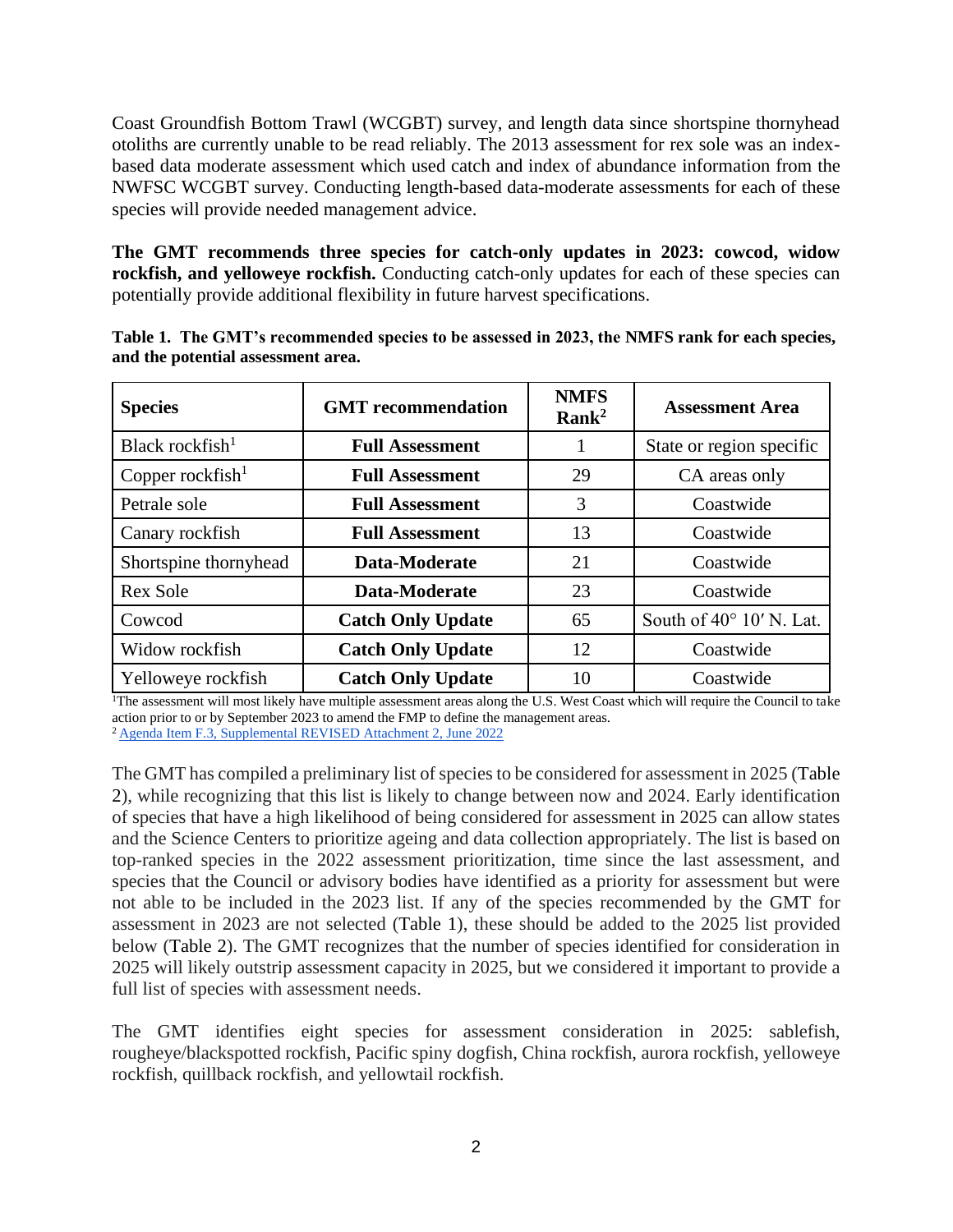Coast Groundfish Bottom Trawl (WCGBT) survey, and length data since shortspine thornyhead otoliths are currently unable to be read reliably. The 2013 assessment for rex sole was an indexbased data moderate assessment which used catch and index of abundance information from the NWFSC WCGBT survey. Conducting length-based data-moderate assessments for each of these species will provide needed management advice.

**The GMT recommends three species for catch-only updates in 2023: cowcod, widow rockfish, and yelloweye rockfish.** Conducting catch-only updates for each of these species can potentially provide additional flexibility in future harvest specifications.

| <b>Species</b>        | <b>GMT</b> recommendation | <b>NMFS</b><br>Rank <sup>2</sup> | <b>Assessment Area</b>   |
|-----------------------|---------------------------|----------------------------------|--------------------------|
| Black rockfish $1$    | <b>Full Assessment</b>    |                                  | State or region specific |
| Copper rockfish $1$   | <b>Full Assessment</b>    | 29                               | CA areas only            |
| Petrale sole          | <b>Full Assessment</b>    | 3                                | Coastwide                |
| Canary rockfish       | <b>Full Assessment</b>    | 13                               | Coastwide                |
| Shortspine thornyhead | Data-Moderate             | 21                               | Coastwide                |
| <b>Rex Sole</b>       | Data-Moderate             | 23                               | Coastwide                |
| Cowcod                | <b>Catch Only Update</b>  | 65                               | South of 40° 10' N. Lat. |
| Widow rockfish        | <b>Catch Only Update</b>  | 12                               | Coastwide                |
| Yelloweye rockfish    | <b>Catch Only Update</b>  | 10                               | Coastwide                |

<span id="page-1-0"></span>**Table 1. The GMT's recommended species to be assessed in 2023, the NMFS rank for each species, and the potential assessment area.**

<sup>1</sup>The assessment will most likely have multiple assessment areas along the U.S. West Coast which will require the Council to take action prior to or by September 2023 to amend the FMP to define the management areas.

<sup>2</sup>Agenda Item F.3, Supplemental REVISED Attachment 2, June 2022

The GMT has compiled a preliminary list of species to be considered for assessment in 2025 (Table 2), while recognizing that this list is likely to change between now and 2024. Early identification of species that have a high likelihood of being considered for assessment in 2025 can allow states and the Science Centers to prioritize ageing and data collection appropriately. The list is based on top-ranked species in the 2022 assessment prioritization, time since the last assessment, and species that the Council or advisory bodies have identified as a priority for assessment but were not able to be included in the 2023 list. If any of the species recommended by the GMT for assessment in 2023 are not selected (Table 1), these should be added to the 2025 list provided below (Table 2). The GMT recognizes that the number of species identified for consideration in 2025 will likely outstrip assessment capacity in 2025, but we considered it important to provide a full list of species with assessment needs.

The GMT identifies eight species for assessment consideration in 2025: sablefish, rougheye/blackspotted rockfish, Pacific spiny dogfish, China rockfish, aurora rockfish, yelloweye rockfish, quillback rockfish, and yellowtail rockfish.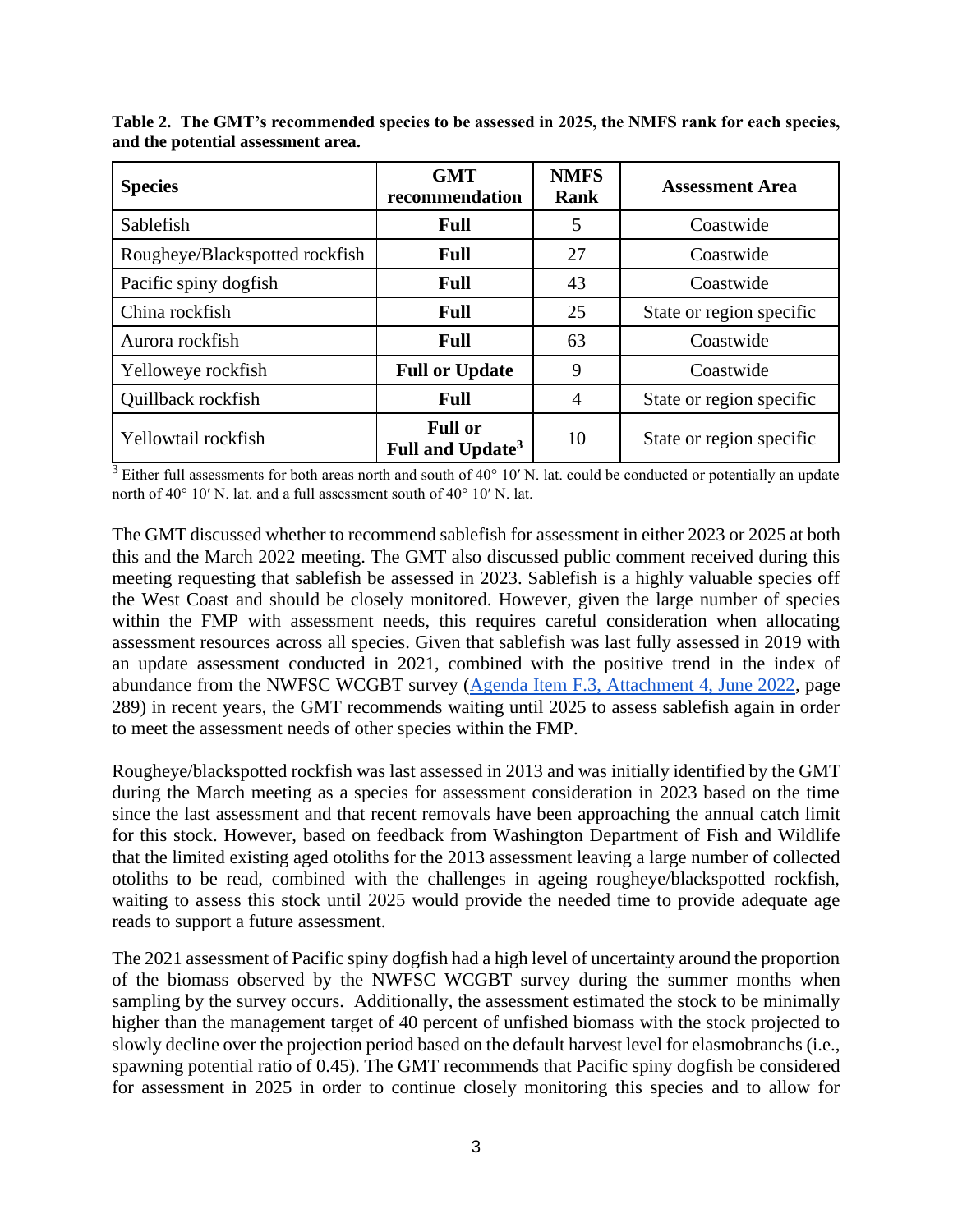| <b>Species</b>                 | <b>GMT</b><br>recommendation                   | <b>NMFS</b><br><b>Rank</b> | <b>Assessment Area</b>   |
|--------------------------------|------------------------------------------------|----------------------------|--------------------------|
| Sablefish                      | Full                                           | 5                          | Coastwide                |
| Rougheye/Blackspotted rockfish | Full                                           | 27                         | Coastwide                |
| Pacific spiny dogfish          | Full                                           | 43                         | Coastwide                |
| China rockfish                 | Full                                           | 25                         | State or region specific |
| Aurora rockfish                | <b>Full</b>                                    | 63                         | Coastwide                |
| Yelloweye rockfish             | <b>Full or Update</b>                          | 9                          | Coastwide                |
| Quillback rockfish             | Full                                           | 4                          | State or region specific |
| Yellowtail rockfish            | <b>Full or</b><br>Full and Update <sup>3</sup> | 10                         | State or region specific |

**Table 2. The GMT's recommended species to be assessed in 2025, the NMFS rank for each species, and the potential assessment area.**

 $3$  Either full assessments for both areas north and south of 40 $\degree$  10' N. lat. could be conducted or potentially an update north of 40° 10′ N. lat. and a full assessment south of 40° 10′ N. lat.

The GMT discussed whether to recommend sablefish for assessment in either 2023 or 2025 at both this and the March 2022 meeting. The GMT also discussed public comment received during this meeting requesting that sablefish be assessed in 2023. Sablefish is a highly valuable species off the West Coast and should be closely monitored. However, given the large number of species within the FMP with assessment needs, this requires careful consideration when allocating assessment resources across all species. Given that sablefish was last fully assessed in 2019 with an update assessment conducted in 2021, combined with the positive trend in the index of abundance from the NWFSC WCGBT survey (Agenda Item F.3, Attachment 4, June 2022, page 289) in recent years, the GMT recommends waiting until 2025 to assess sablefish again in order to meet the assessment needs of other species within the FMP.

Rougheye/blackspotted rockfish was last assessed in 2013 and was initially identified by the GMT during the March meeting as a species for assessment consideration in 2023 based on the time since the last assessment and that recent removals have been approaching the annual catch limit for this stock. However, based on feedback from Washington Department of Fish and Wildlife that the limited existing aged otoliths for the 2013 assessment leaving a large number of collected otoliths to be read, combined with the challenges in ageing rougheye/blackspotted rockfish, waiting to assess this stock until 2025 would provide the needed time to provide adequate age reads to support a future assessment.

The 2021 assessment of Pacific spiny dogfish had a high level of uncertainty around the proportion of the biomass observed by the NWFSC WCGBT survey during the summer months when sampling by the survey occurs. Additionally, the assessment estimated the stock to be minimally higher than the management target of 40 percent of unfished biomass with the stock projected to slowly decline over the projection period based on the default harvest level for elasmobranchs (i.e., spawning potential ratio of 0.45). The GMT recommends that Pacific spiny dogfish be considered for assessment in 2025 in order to continue closely monitoring this species and to allow for